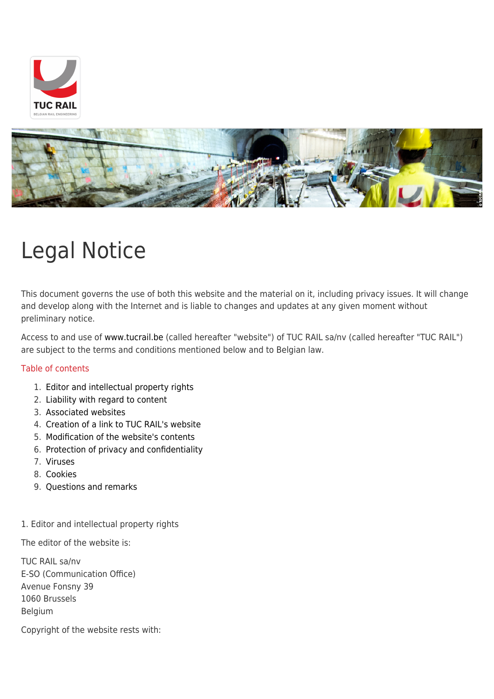



# Legal Notice

This document governs the use of both this website and the material on it, including privacy issues. It will change and develop along with the Internet and is liable to changes and updates at any given moment without preliminary notice.

Access to and use of [www.tucrail.be](http://www.tucrail.be) (called hereafter "website") of TUC RAIL sa/nv (called hereafter "TUC RAIL") are subject to the terms and conditions mentioned below and to Belgian law.

# Table of contents

- 1. [Editor and intellectual property rights](http://www.tucrail.be/en/legal-notice-private-policy/#1. Editeur et droits de propriété intellectuelle)
- 2. [Liability with regard to content](http://www.tucrail.be/en/legal-notice-private-policy/#2. Responsabilité quant au contenu)
- 3. [Associated websites](http://www.tucrail.be/en/legal-notice-private-policy/#3. Sites reliés)
- 4. [Creation of a link to TUC RAIL's website](http://www.tucrail.be/en/legal-notice-private-policy/#4. Création d)
- 5. [Modification of the website's contents](http://www.tucrail.be/en/legal-notice-private-policy/#5. Modification du contenu)
- 6. [Protection of privacy and confidentiality](http://www.tucrail.be/en/legal-notice-private-policy/#6. Protection de la vie privée et confidentialité)
- 7. [Viruses](http://www.tucrail.be/en/legal-notice-private-policy/#7. Virus)
- 8. [Cookies](http://www.tucrail.be/en/legal-notice-private-policy/#8. Cookies)
- 9. [Questions and remarks](http://www.tucrail.be/en/legal-notice-private-policy/#9. Questions et commentaires)

#### 1. Editor and intellectual property rights

The editor of the website is:

TUC RAIL sa/nv E-SO (Communication Office) Avenue Fonsny 39 1060 Brussels Belgium

Copyright of the website rests with: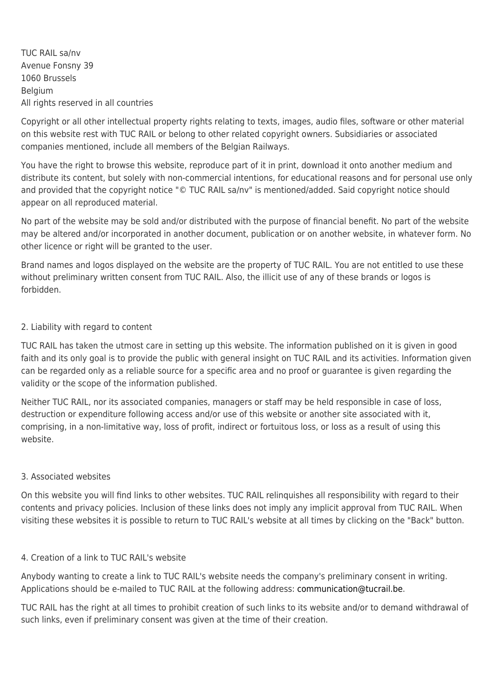TUC RAIL sa/nv Avenue Fonsny 39 1060 Brussels Belgium All rights reserved in all countries

Copyright or all other intellectual property rights relating to texts, images, audio files, software or other material on this website rest with TUC RAIL or belong to other related copyright owners. Subsidiaries or associated companies mentioned, include all members of the Belgian Railways.

You have the right to browse this website, reproduce part of it in print, download it onto another medium and distribute its content, but solely with non-commercial intentions, for educational reasons and for personal use only and provided that the copyright notice "© TUC RAIL sa/nv" is mentioned/added. Said copyright notice should appear on all reproduced material.

No part of the website may be sold and/or distributed with the purpose of financial benefit. No part of the website may be altered and/or incorporated in another document, publication or on another website, in whatever form. No other licence or right will be granted to the user.

Brand names and logos displayed on the website are the property of TUC RAIL. You are not entitled to use these without preliminary written consent from TUC RAIL. Also, the illicit use of any of these brands or logos is forbidden.

# 2. Liability with regard to content

TUC RAIL has taken the utmost care in setting up this website. The information published on it is given in good faith and its only goal is to provide the public with general insight on TUC RAIL and its activities. Information given can be regarded only as a reliable source for a specific area and no proof or guarantee is given regarding the validity or the scope of the information published.

Neither TUC RAIL, nor its associated companies, managers or staff may be held responsible in case of loss, destruction or expenditure following access and/or use of this website or another site associated with it, comprising, in a non-limitative way, loss of profit, indirect or fortuitous loss, or loss as a result of using this website.

# 3. Associated websites

On this website you will find links to other websites. TUC RAIL relinquishes all responsibility with regard to their contents and privacy policies. Inclusion of these links does not imply any implicit approval from TUC RAIL. When visiting these websites it is possible to return to TUC RAIL's website at all times by clicking on the "Back" button.

# 4. Creation of a link to TUC RAIL's website

Anybody wanting to create a link to TUC RAIL's website needs the company's preliminary consent in writing. Applications should be e-mailed to TUC RAIL at the following address: [communication@tucrail.be](mailto:communication@tucrail.be).

TUC RAIL has the right at all times to prohibit creation of such links to its website and/or to demand withdrawal of such links, even if preliminary consent was given at the time of their creation.